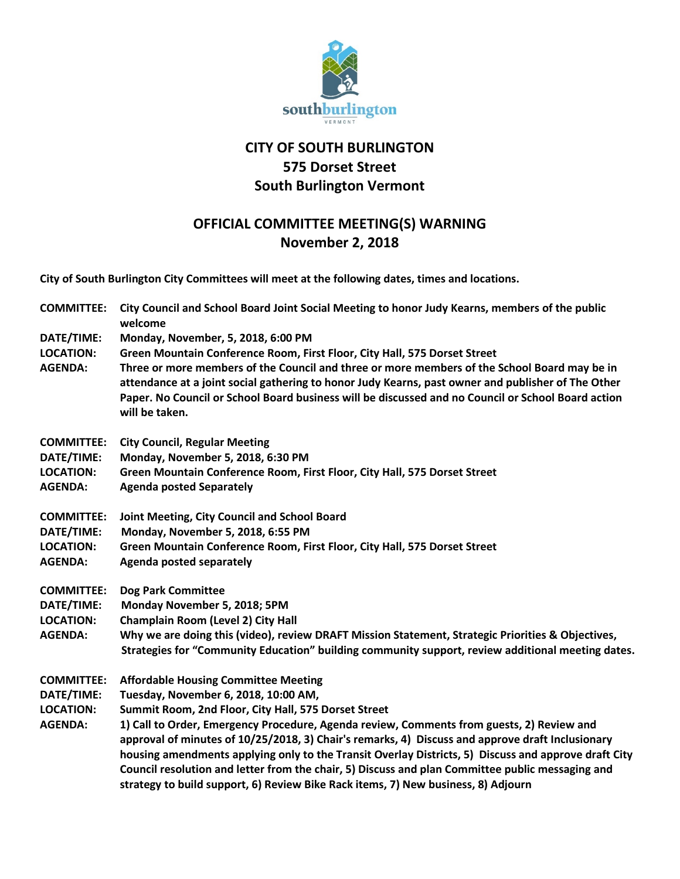

## **CITY OF SOUTH BURLINGTON 575 Dorset Street South Burlington Vermont**

## **OFFICIAL COMMITTEE MEETING(S) WARNING November 2, 2018**

**City of South Burlington City Committees will meet at the following dates, times and locations.** 

**COMMITTEE: City Council and School Board Joint Social Meeting to honor Judy Kearns, members of the public welcome DATE/TIME: Monday, November, 5, 2018, 6:00 PM LOCATION: Green Mountain Conference Room, First Floor, City Hall, 575 Dorset Street AGENDA: Three or more members of the Council and three or more members of the School Board may be in attendance at a joint social gathering to honor Judy Kearns, past owner and publisher of The Other Paper. No Council or School Board business will be discussed and no Council or School Board action will be taken. COMMITTEE: City Council, Regular Meeting DATE/TIME: Monday, November 5, 2018, 6:30 PM LOCATION: Green Mountain Conference Room, First Floor, City Hall, 575 Dorset Street AGENDA: Agenda posted Separately COMMITTEE: Joint Meeting, City Council and School Board DATE/TIME: Monday, November 5, 2018, 6:55 PM LOCATION: Green Mountain Conference Room, First Floor, City Hall, 575 Dorset Street AGENDA: Agenda posted separately COMMITTEE: Dog Park Committee DATE/TIME: Monday November 5, 2018; 5PM LOCATION: Champlain Room (Level 2) City Hall AGENDA: Why we are doing this (video), review DRAFT Mission Statement, Strategic Priorities & Objectives, Strategies for "Community Education" building community support, review additional meeting dates. COMMITTEE: Affordable Housing Committee Meeting DATE/TIME: Tuesday, November 6, 2018, 10:00 AM, LOCATION: Summit Room, 2nd Floor, City Hall, 575 Dorset Street AGENDA: 1) Call to Order, Emergency Procedure, Agenda review, Comments from guests, 2) Review and approval of minutes of 10/25/2018, 3) Chair's remarks, 4) Discuss and approve draft Inclusionary housing amendments applying only to the Transit Overlay Districts, 5) Discuss and approve draft City Council resolution and letter from the chair, 5) Discuss and plan Committee public messaging and strategy to build support, 6) Review Bike Rack items, 7) New business, 8) Adjourn**